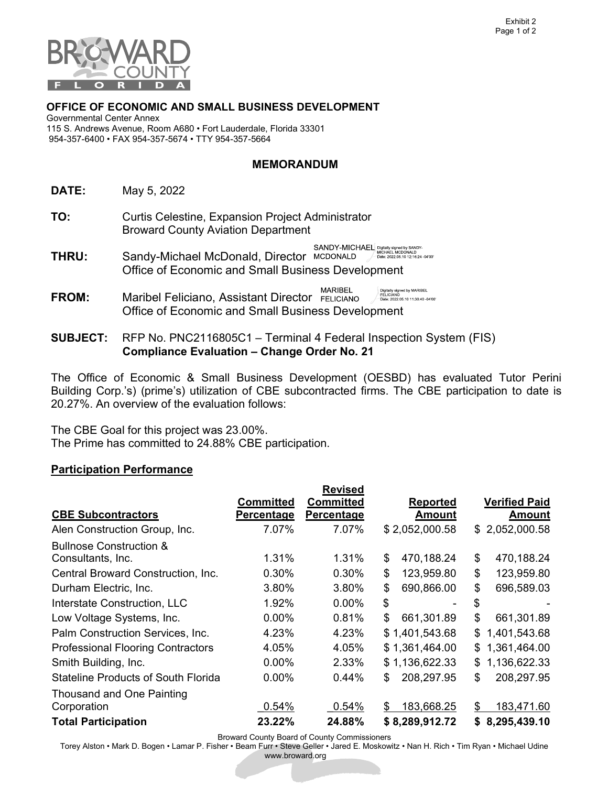

## OFFICE OF ECONOMIC AND SMALL BUSINESS DEVELOPMENT

 115 S. Andrews Avenue, Room A680 • Fort Lauderdale, Florida 33301 954-357-6400 • FAX 954-357-5674 • TTY 954-357-5664 Governmental Center Annex

## MEMORANDUM

DATE: May 5, 2022

- TO: Curtis Celestine, Expansion Project Administrator Broward County Aviation Department
- $\text{SANDY-MICHAEL}^{\text{indual signal by SANDY-}}_{\text{MICHAEL MCDONALD}} {\tiny \begin{array}{c} \text{MICHAEL MCDONALD} \\ \text{Date: 2022.05.10 12:16:24-04'00} \end{array}}$  THRU: Sandy-Michael McDonald, Director Office of Economic and Small Business Development
- MARIBEL Digitally signed by MARIBEL<br>FELICIANO<br>Date: 2022.05.10 11:30:40 -04'00 FROM: Maribel Feliciano, Assistant Director Office of Economic and Small Business Development
- **SUBJECT:**  Compliance Evaluation – Change Order No. 21 RFP No. PNC2116805C1 – Terminal 4 Federal Inspection System (FIS)

 The Office of Economic & Small Business Development (OESBD) has evaluated Tutor Perini Building Corp.'s) (prime's) utilization of CBE subcontracted firms. The CBE participation to date is 20.27%. An overview of the evaluation follows:

 The CBE Goal for this project was 23.00%. The Prime has committed to 24.88% CBE participation.

## Participation Performance

|                                            |                   | <b>Revised</b>    |                  |                      |
|--------------------------------------------|-------------------|-------------------|------------------|----------------------|
|                                            | <b>Committed</b>  | <b>Committed</b>  | <b>Reported</b>  | <b>Verified Paid</b> |
| <b>CBE Subcontractors</b>                  | <b>Percentage</b> | <b>Percentage</b> | <b>Amount</b>    | <u>Amount</u>        |
| Alen Construction Group, Inc.              | 7.07%             | 7.07%             | \$2,052,000.58   | \$2,052,000.58       |
| <b>Bullnose Construction &amp;</b>         |                   |                   |                  |                      |
| Consultants, Inc.                          | 1.31%             | 1.31%             | \$<br>470,188.24 | \$<br>470,188.24     |
| Central Broward Construction, Inc.         | 0.30%             | 0.30%             | \$<br>123,959.80 | \$<br>123,959.80     |
| Durham Electric, Inc.                      | 3.80%             | 3.80%             | \$<br>690,866.00 | \$<br>696,589.03     |
| Interstate Construction, LLC               | 1.92%             | 0.00%             | \$               | \$                   |
| Low Voltage Systems, Inc.                  | $0.00\%$          | 0.81%             | \$<br>661,301.89 | \$<br>661,301.89     |
| Palm Construction Services, Inc.           | 4.23%             | 4.23%             | \$1,401,543.68   | \$<br>1,401,543.68   |
| <b>Professional Flooring Contractors</b>   | 4.05%             | 4.05%             | \$1,361,464.00   | 1,361,464.00<br>\$   |
| Smith Building, Inc.                       | $0.00\%$          | 2.33%             | \$1,136,622.33   | 1,136,622.33<br>\$   |
| <b>Stateline Products of South Florida</b> | 0.00%             | 0.44%             | 208,297.95<br>\$ | \$<br>208,297.95     |
| Thousand and One Painting                  |                   |                   |                  |                      |
| Corporation                                | 0.54%             | 0.54%             | 183,668.25<br>\$ | 183,471.60<br>S      |
| <b>Total Participation</b>                 | 23.22%            | 24.88%            | \$8,289,912.72   | 8,295,439.10<br>\$   |

Broward County Board of County Commissioners

Torey Alston • Mark D. Bogen • Lamar P. Fisher • Beam Furr • Steve Geller • Jared E. Moskowitz • Nan H. Rich • Tim Ryan • Michael Udine

www.broward.org